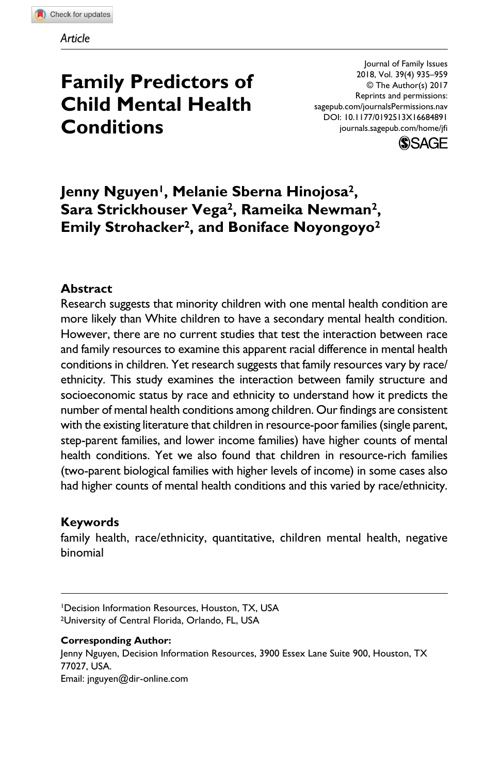# **Family Predictors of Child Mental Health Conditions**

https://doi.org/10.1177/0192513X16684891 DOI: 10.1177/0192513X16684891 Journal of Family Issues 2018, Vol. 39(4) 935–959 © The Author(s) 2017 Reprints and permissions: [sagepub.com/journalsPermissions.nav](https://us.sagepub.com/en-us/journals-permissions) [journals.sagepub.com/home/jfi](https://journals.sagepub.com/home/jfi)



# Jenny Nguyen<sup>1</sup>, Melanie Sberna Hinojosa<sup>2</sup>, **Sara Strickhouser Vega2, Rameika Newman2, Emily Strohacker2, and Boniface Noyongoyo2**

#### **Abstract**

Research suggests that minority children with one mental health condition are more likely than White children to have a secondary mental health condition. However, there are no current studies that test the interaction between race and family resources to examine this apparent racial difference in mental health conditions in children. Yet research suggests that family resources vary by race/ ethnicity. This study examines the interaction between family structure and socioeconomic status by race and ethnicity to understand how it predicts the number of mental health conditions among children. Our findings are consistent with the existing literature that children in resource-poor families (single parent, step-parent families, and lower income families) have higher counts of mental health conditions. Yet we also found that children in resource-rich families (two-parent biological families with higher levels of income) in some cases also had higher counts of mental health conditions and this varied by race/ethnicity.

#### **Keywords**

family health, race/ethnicity, quantitative, children mental health, negative binomial

#### **Corresponding Author:**

Jenny Nguyen, Decision Information Resources, 3900 Essex Lane Suite 900, Houston, TX 77027, USA. Email: [jnguyen@dir-online.com](mailto:jnguyen@dir-online.com)

<sup>1</sup>Decision Information Resources, Houston, TX, USA 2University of Central Florida, Orlando, FL, USA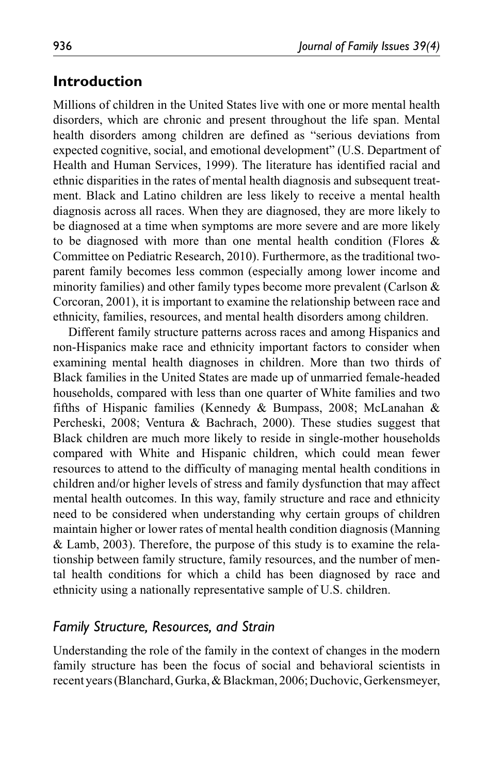#### **Introduction**

Millions of children in the United States live with one or more mental health disorders, which are chronic and present throughout the life span. Mental health disorders among children are defined as "serious deviations from expected cognitive, social, and emotional development" (U.S. Department of Health and Human Services, 1999). The literature has identified racial and ethnic disparities in the rates of mental health diagnosis and subsequent treatment. Black and Latino children are less likely to receive a mental health diagnosis across all races. When they are diagnosed, they are more likely to be diagnosed at a time when symptoms are more severe and are more likely to be diagnosed with more than one mental health condition (Flores & Committee on Pediatric Research, 2010). Furthermore, as the traditional twoparent family becomes less common (especially among lower income and minority families) and other family types become more prevalent (Carlson & Corcoran, 2001), it is important to examine the relationship between race and ethnicity, families, resources, and mental health disorders among children.

Different family structure patterns across races and among Hispanics and non-Hispanics make race and ethnicity important factors to consider when examining mental health diagnoses in children. More than two thirds of Black families in the United States are made up of unmarried female-headed households, compared with less than one quarter of White families and two fifths of Hispanic families (Kennedy & Bumpass, 2008; McLanahan & Percheski, 2008; Ventura & Bachrach, 2000). These studies suggest that Black children are much more likely to reside in single-mother households compared with White and Hispanic children, which could mean fewer resources to attend to the difficulty of managing mental health conditions in children and/or higher levels of stress and family dysfunction that may affect mental health outcomes. In this way, family structure and race and ethnicity need to be considered when understanding why certain groups of children maintain higher or lower rates of mental health condition diagnosis (Manning & Lamb, 2003). Therefore, the purpose of this study is to examine the relationship between family structure, family resources, and the number of mental health conditions for which a child has been diagnosed by race and ethnicity using a nationally representative sample of U.S. children.

#### *Family Structure, Resources, and Strain*

Understanding the role of the family in the context of changes in the modern family structure has been the focus of social and behavioral scientists in recent years (Blanchard, Gurka, & Blackman, 2006; Duchovic, Gerkensmeyer,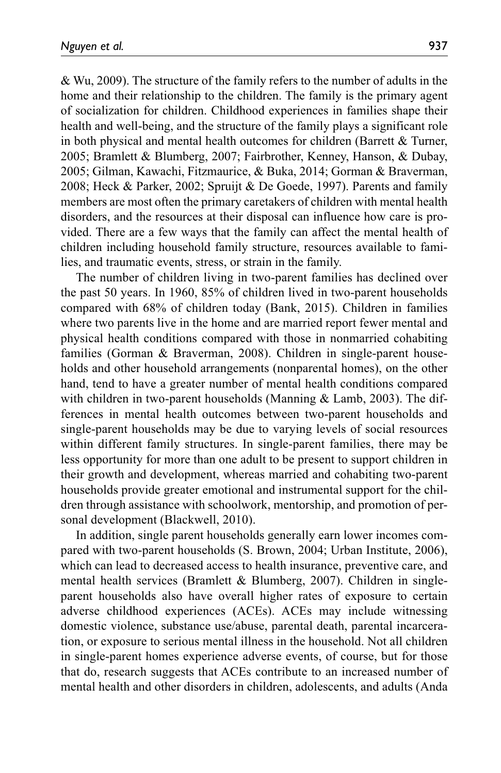& Wu, 2009). The structure of the family refers to the number of adults in the home and their relationship to the children. The family is the primary agent of socialization for children. Childhood experiences in families shape their health and well-being, and the structure of the family plays a significant role in both physical and mental health outcomes for children (Barrett & Turner, 2005; Bramlett & Blumberg, 2007; Fairbrother, Kenney, Hanson, & Dubay, 2005; Gilman, Kawachi, Fitzmaurice, & Buka, 2014; Gorman & Braverman, 2008; Heck & Parker, 2002; Spruijt & De Goede, 1997). Parents and family members are most often the primary caretakers of children with mental health disorders, and the resources at their disposal can influence how care is provided. There are a few ways that the family can affect the mental health of children including household family structure, resources available to families, and traumatic events, stress, or strain in the family.

The number of children living in two-parent families has declined over the past 50 years. In 1960, 85% of children lived in two-parent households compared with 68% of children today (Bank, 2015). Children in families where two parents live in the home and are married report fewer mental and physical health conditions compared with those in nonmarried cohabiting families (Gorman & Braverman, 2008). Children in single-parent households and other household arrangements (nonparental homes), on the other hand, tend to have a greater number of mental health conditions compared with children in two-parent households (Manning & Lamb, 2003). The differences in mental health outcomes between two-parent households and single-parent households may be due to varying levels of social resources within different family structures. In single-parent families, there may be less opportunity for more than one adult to be present to support children in their growth and development, whereas married and cohabiting two-parent households provide greater emotional and instrumental support for the children through assistance with schoolwork, mentorship, and promotion of personal development (Blackwell, 2010).

In addition, single parent households generally earn lower incomes compared with two-parent households (S. Brown, 2004; Urban Institute, 2006), which can lead to decreased access to health insurance, preventive care, and mental health services (Bramlett & Blumberg, 2007). Children in singleparent households also have overall higher rates of exposure to certain adverse childhood experiences (ACEs). ACEs may include witnessing domestic violence, substance use/abuse, parental death, parental incarceration, or exposure to serious mental illness in the household. Not all children in single-parent homes experience adverse events, of course, but for those that do, research suggests that ACEs contribute to an increased number of mental health and other disorders in children, adolescents, and adults (Anda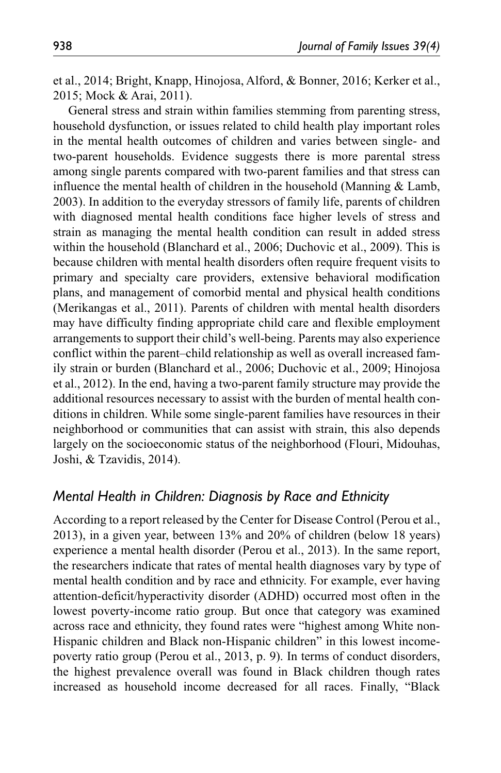et al., 2014; Bright, Knapp, Hinojosa, Alford, & Bonner, 2016; Kerker et al., 2015; Mock & Arai, 2011).

General stress and strain within families stemming from parenting stress, household dysfunction, or issues related to child health play important roles in the mental health outcomes of children and varies between single- and two-parent households. Evidence suggests there is more parental stress among single parents compared with two-parent families and that stress can influence the mental health of children in the household (Manning & Lamb, 2003). In addition to the everyday stressors of family life, parents of children with diagnosed mental health conditions face higher levels of stress and strain as managing the mental health condition can result in added stress within the household (Blanchard et al., 2006; Duchovic et al., 2009). This is because children with mental health disorders often require frequent visits to primary and specialty care providers, extensive behavioral modification plans, and management of comorbid mental and physical health conditions (Merikangas et al., 2011). Parents of children with mental health disorders may have difficulty finding appropriate child care and flexible employment arrangements to support their child's well-being. Parents may also experience conflict within the parent–child relationship as well as overall increased family strain or burden (Blanchard et al., 2006; Duchovic et al., 2009; Hinojosa et al., 2012). In the end, having a two-parent family structure may provide the additional resources necessary to assist with the burden of mental health conditions in children. While some single-parent families have resources in their neighborhood or communities that can assist with strain, this also depends largely on the socioeconomic status of the neighborhood (Flouri, Midouhas, Joshi, & Tzavidis, 2014).

#### *Mental Health in Children: Diagnosis by Race and Ethnicity*

According to a report released by the Center for Disease Control (Perou et al., 2013), in a given year, between 13% and 20% of children (below 18 years) experience a mental health disorder (Perou et al., 2013). In the same report, the researchers indicate that rates of mental health diagnoses vary by type of mental health condition and by race and ethnicity. For example, ever having attention-deficit/hyperactivity disorder (ADHD) occurred most often in the lowest poverty-income ratio group. But once that category was examined across race and ethnicity, they found rates were "highest among White non-Hispanic children and Black non-Hispanic children" in this lowest incomepoverty ratio group (Perou et al., 2013, p. 9). In terms of conduct disorders, the highest prevalence overall was found in Black children though rates increased as household income decreased for all races. Finally, "Black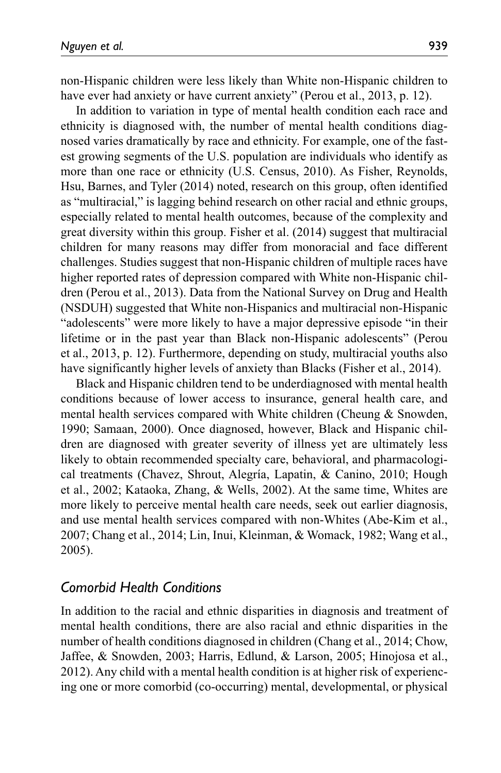non-Hispanic children were less likely than White non-Hispanic children to have ever had anxiety or have current anxiety" (Perou et al., 2013, p. 12).

In addition to variation in type of mental health condition each race and ethnicity is diagnosed with, the number of mental health conditions diagnosed varies dramatically by race and ethnicity. For example, one of the fastest growing segments of the U.S. population are individuals who identify as more than one race or ethnicity (U.S. Census, 2010). As Fisher, Reynolds, Hsu, Barnes, and Tyler (2014) noted, research on this group, often identified as "multiracial," is lagging behind research on other racial and ethnic groups, especially related to mental health outcomes, because of the complexity and great diversity within this group. Fisher et al. (2014) suggest that multiracial children for many reasons may differ from monoracial and face different challenges. Studies suggest that non-Hispanic children of multiple races have higher reported rates of depression compared with White non-Hispanic children (Perou et al., 2013). Data from the National Survey on Drug and Health (NSDUH) suggested that White non-Hispanics and multiracial non-Hispanic "adolescents" were more likely to have a major depressive episode "in their lifetime or in the past year than Black non-Hispanic adolescents" (Perou et al., 2013, p. 12). Furthermore, depending on study, multiracial youths also have significantly higher levels of anxiety than Blacks (Fisher et al., 2014).

Black and Hispanic children tend to be underdiagnosed with mental health conditions because of lower access to insurance, general health care, and mental health services compared with White children (Cheung & Snowden, 1990; Samaan, 2000). Once diagnosed, however, Black and Hispanic children are diagnosed with greater severity of illness yet are ultimately less likely to obtain recommended specialty care, behavioral, and pharmacological treatments (Chavez, Shrout, Alegría, Lapatin, & Canino, 2010; Hough et al., 2002; Kataoka, Zhang, & Wells, 2002). At the same time, Whites are more likely to perceive mental health care needs, seek out earlier diagnosis, and use mental health services compared with non-Whites (Abe-Kim et al., 2007; Chang et al., 2014; Lin, Inui, Kleinman, & Womack, 1982; Wang et al., 2005).

#### *Comorbid Health Conditions*

In addition to the racial and ethnic disparities in diagnosis and treatment of mental health conditions, there are also racial and ethnic disparities in the number of health conditions diagnosed in children (Chang et al., 2014; Chow, Jaffee, & Snowden, 2003; Harris, Edlund, & Larson, 2005; Hinojosa et al., 2012). Any child with a mental health condition is at higher risk of experiencing one or more comorbid (co-occurring) mental, developmental, or physical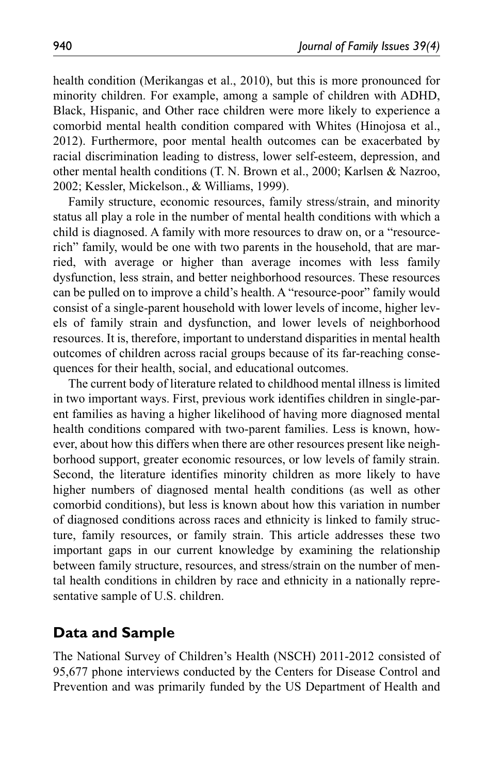health condition (Merikangas et al., 2010), but this is more pronounced for minority children. For example, among a sample of children with ADHD, Black, Hispanic, and Other race children were more likely to experience a comorbid mental health condition compared with Whites (Hinojosa et al., 2012). Furthermore, poor mental health outcomes can be exacerbated by racial discrimination leading to distress, lower self-esteem, depression, and other mental health conditions (T. N. Brown et al., 2000; Karlsen & Nazroo, 2002; Kessler, Mickelson., & Williams, 1999).

Family structure, economic resources, family stress/strain, and minority status all play a role in the number of mental health conditions with which a child is diagnosed. A family with more resources to draw on, or a "resourcerich" family, would be one with two parents in the household, that are married, with average or higher than average incomes with less family dysfunction, less strain, and better neighborhood resources. These resources can be pulled on to improve a child's health. A "resource-poor" family would consist of a single-parent household with lower levels of income, higher levels of family strain and dysfunction, and lower levels of neighborhood resources. It is, therefore, important to understand disparities in mental health outcomes of children across racial groups because of its far-reaching consequences for their health, social, and educational outcomes.

The current body of literature related to childhood mental illness is limited in two important ways. First, previous work identifies children in single-parent families as having a higher likelihood of having more diagnosed mental health conditions compared with two-parent families. Less is known, however, about how this differs when there are other resources present like neighborhood support, greater economic resources, or low levels of family strain. Second, the literature identifies minority children as more likely to have higher numbers of diagnosed mental health conditions (as well as other comorbid conditions), but less is known about how this variation in number of diagnosed conditions across races and ethnicity is linked to family structure, family resources, or family strain. This article addresses these two important gaps in our current knowledge by examining the relationship between family structure, resources, and stress/strain on the number of mental health conditions in children by race and ethnicity in a nationally representative sample of U.S. children.

#### **Data and Sample**

The National Survey of Children's Health (NSCH) 2011-2012 consisted of 95,677 phone interviews conducted by the Centers for Disease Control and Prevention and was primarily funded by the US Department of Health and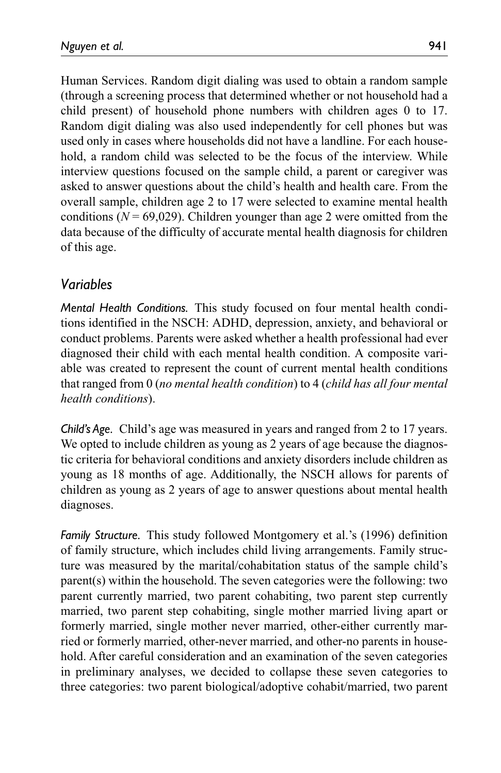Human Services. Random digit dialing was used to obtain a random sample (through a screening process that determined whether or not household had a child present) of household phone numbers with children ages 0 to 17. Random digit dialing was also used independently for cell phones but was used only in cases where households did not have a landline. For each household, a random child was selected to be the focus of the interview. While interview questions focused on the sample child, a parent or caregiver was asked to answer questions about the child's health and health care. From the overall sample, children age 2 to 17 were selected to examine mental health conditions ( $N = 69,029$ ). Children younger than age 2 were omitted from the data because of the difficulty of accurate mental health diagnosis for children of this age.

### *Variables*

*Mental Health Conditions.* This study focused on four mental health conditions identified in the NSCH: ADHD, depression, anxiety, and behavioral or conduct problems. Parents were asked whether a health professional had ever diagnosed their child with each mental health condition. A composite variable was created to represent the count of current mental health conditions that ranged from 0 (*no mental health condition*) to 4 (*child has all four mental health conditions*).

*Child's Age.* Child's age was measured in years and ranged from 2 to 17 years. We opted to include children as young as 2 years of age because the diagnostic criteria for behavioral conditions and anxiety disorders include children as young as 18 months of age. Additionally, the NSCH allows for parents of children as young as 2 years of age to answer questions about mental health diagnoses.

*Family Structure.* This study followed Montgomery et al.'s (1996) definition of family structure, which includes child living arrangements. Family structure was measured by the marital/cohabitation status of the sample child's  $parent(s)$  within the household. The seven categories were the following: two parent currently married, two parent cohabiting, two parent step currently married, two parent step cohabiting, single mother married living apart or formerly married, single mother never married, other-either currently married or formerly married, other-never married, and other-no parents in household. After careful consideration and an examination of the seven categories in preliminary analyses, we decided to collapse these seven categories to three categories: two parent biological/adoptive cohabit/married, two parent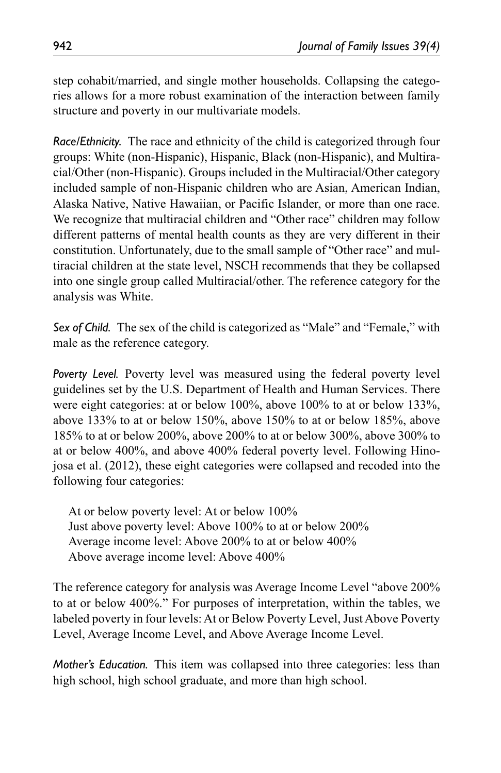step cohabit/married, and single mother households. Collapsing the categories allows for a more robust examination of the interaction between family structure and poverty in our multivariate models.

*Race/Ethnicity.* The race and ethnicity of the child is categorized through four groups: White (non-Hispanic), Hispanic, Black (non-Hispanic), and Multiracial/Other (non-Hispanic). Groups included in the Multiracial/Other category included sample of non-Hispanic children who are Asian, American Indian, Alaska Native, Native Hawaiian, or Pacific Islander, or more than one race. We recognize that multiracial children and "Other race" children may follow different patterns of mental health counts as they are very different in their constitution. Unfortunately, due to the small sample of "Other race" and multiracial children at the state level, NSCH recommends that they be collapsed into one single group called Multiracial/other. The reference category for the analysis was White.

*Sex of Child.* The sex of the child is categorized as "Male" and "Female," with male as the reference category.

*Poverty Level.* Poverty level was measured using the federal poverty level guidelines set by the U.S. Department of Health and Human Services. There were eight categories: at or below 100%, above 100% to at or below 133%, above 133% to at or below 150%, above 150% to at or below 185%, above 185% to at or below 200%, above 200% to at or below 300%, above 300% to at or below 400%, and above 400% federal poverty level. Following Hinojosa et al. (2012), these eight categories were collapsed and recoded into the following four categories:

At or below poverty level: At or below 100% Just above poverty level: Above 100% to at or below 200% Average income level: Above 200% to at or below 400% Above average income level: Above 400%

The reference category for analysis was Average Income Level "above 200% to at or below 400%." For purposes of interpretation, within the tables, we labeled poverty in four levels: At or Below Poverty Level, Just Above Poverty Level, Average Income Level, and Above Average Income Level.

*Mother's Education.* This item was collapsed into three categories: less than high school, high school graduate, and more than high school.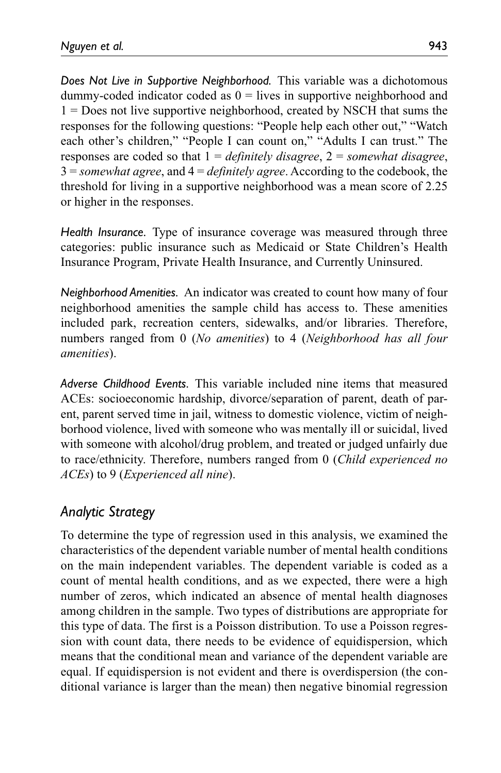*Does Not Live in Supportive Neighborhood.* This variable was a dichotomous dummy-coded indicator coded as  $0 =$  lives in supportive neighborhood and 1 = Does not live supportive neighborhood, created by NSCH that sums the responses for the following questions: "People help each other out," "Watch each other's children," "People I can count on," "Adults I can trust." The responses are coded so that 1 = *definitely disagree*, 2 = *somewhat disagree*, 3 = *somewhat agree*, and 4 = *definitely agree*. According to the codebook, the threshold for living in a supportive neighborhood was a mean score of 2.25 or higher in the responses.

*Health Insurance.* Type of insurance coverage was measured through three categories: public insurance such as Medicaid or State Children's Health Insurance Program, Private Health Insurance, and Currently Uninsured.

*Neighborhood Amenities.* An indicator was created to count how many of four neighborhood amenities the sample child has access to. These amenities included park, recreation centers, sidewalks, and/or libraries. Therefore, numbers ranged from 0 (*No amenities*) to 4 (*Neighborhood has all four amenities*).

*Adverse Childhood Events.* This variable included nine items that measured ACEs: socioeconomic hardship, divorce/separation of parent, death of parent, parent served time in jail, witness to domestic violence, victim of neighborhood violence, lived with someone who was mentally ill or suicidal, lived with someone with alcohol/drug problem, and treated or judged unfairly due to race/ethnicity. Therefore, numbers ranged from 0 (*Child experienced no ACEs*) to 9 (*Experienced all nine*).

## *Analytic Strategy*

To determine the type of regression used in this analysis, we examined the characteristics of the dependent variable number of mental health conditions on the main independent variables. The dependent variable is coded as a count of mental health conditions, and as we expected, there were a high number of zeros, which indicated an absence of mental health diagnoses among children in the sample. Two types of distributions are appropriate for this type of data. The first is a Poisson distribution. To use a Poisson regression with count data, there needs to be evidence of equidispersion, which means that the conditional mean and variance of the dependent variable are equal. If equidispersion is not evident and there is overdispersion (the conditional variance is larger than the mean) then negative binomial regression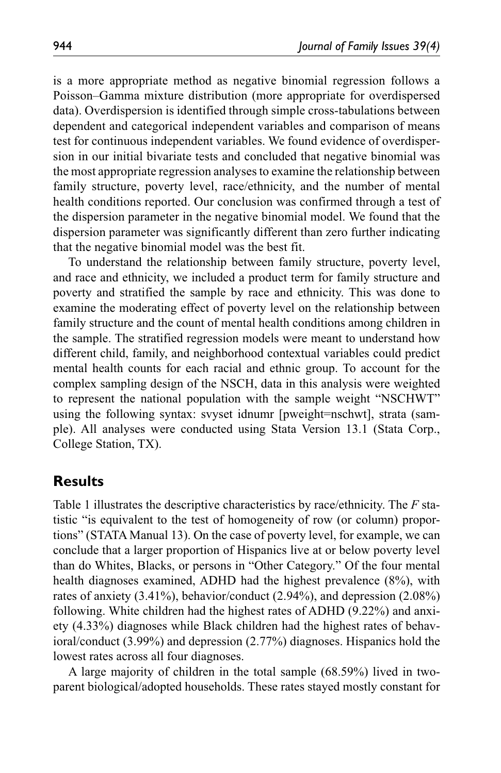is a more appropriate method as negative binomial regression follows a Poisson–Gamma mixture distribution (more appropriate for overdispersed data). Overdispersion is identified through simple cross-tabulations between dependent and categorical independent variables and comparison of means test for continuous independent variables. We found evidence of overdispersion in our initial bivariate tests and concluded that negative binomial was the most appropriate regression analyses to examine the relationship between family structure, poverty level, race/ethnicity, and the number of mental health conditions reported. Our conclusion was confirmed through a test of the dispersion parameter in the negative binomial model. We found that the dispersion parameter was significantly different than zero further indicating that the negative binomial model was the best fit.

To understand the relationship between family structure, poverty level, and race and ethnicity, we included a product term for family structure and poverty and stratified the sample by race and ethnicity. This was done to examine the moderating effect of poverty level on the relationship between family structure and the count of mental health conditions among children in the sample. The stratified regression models were meant to understand how different child, family, and neighborhood contextual variables could predict mental health counts for each racial and ethnic group. To account for the complex sampling design of the NSCH, data in this analysis were weighted to represent the national population with the sample weight "NSCHWT" using the following syntax: svyset idnumr [pweight=nschwt], strata (sample). All analyses were conducted using Stata Version 13.1 (Stata Corp., College Station, TX).

#### **Results**

Table 1 illustrates the descriptive characteristics by race/ethnicity. The *F* statistic "is equivalent to the test of homogeneity of row (or column) proportions" (STATA Manual 13). On the case of poverty level, for example, we can conclude that a larger proportion of Hispanics live at or below poverty level than do Whites, Blacks, or persons in "Other Category." Of the four mental health diagnoses examined, ADHD had the highest prevalence (8%), with rates of anxiety (3.41%), behavior/conduct (2.94%), and depression (2.08%) following. White children had the highest rates of ADHD (9.22%) and anxiety (4.33%) diagnoses while Black children had the highest rates of behavioral/conduct (3.99%) and depression (2.77%) diagnoses. Hispanics hold the lowest rates across all four diagnoses.

A large majority of children in the total sample (68.59%) lived in twoparent biological/adopted households. These rates stayed mostly constant for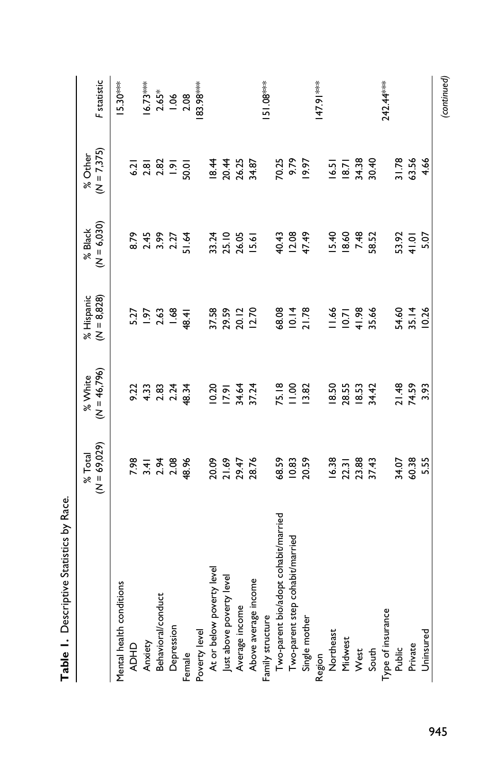|                                      | $(N = 69,029)$<br>%Total | $(N = 46,796)$<br>% White | % Hispanic<br>( $N = 8,828$ ) | $(N = 6,030)$<br>% Black   | $(N = 7,375)$<br>% Other | F statistic      |
|--------------------------------------|--------------------------|---------------------------|-------------------------------|----------------------------|--------------------------|------------------|
| Mental health conditions             |                          |                           |                               |                            |                          | $15.30***$       |
| <b>ADHD</b>                          | 7.98                     | 9.22                      | 5.27                          |                            | $\overline{53}$          |                  |
| Anxiety                              | 3.41                     | 4.33                      | 1.97                          | 8.48.74<br>8.48.74<br>8.75 | 2.81                     | $16.73***$       |
| <b>Behavioral/conduct</b>            | 2.94<br>2.08             |                           | 2.63                          |                            | 2.82                     | $2.65*$          |
| Depression                           |                          | 2.83<br>2.24<br>48.34     | 1.68                          |                            | $\overline{1.91}$        | 1.06             |
| Female                               | 48.96                    |                           | 48.41                         |                            | 50.01                    | 2.08             |
| Poverty level                        |                          |                           |                               |                            |                          | 83.98***         |
| At or below poverty level            | 20.09                    | 10.20                     | 37.58                         |                            | 18.44                    |                  |
| Just above poverty level             |                          | 17.91                     |                               |                            | 20.44                    |                  |
| Average income                       | 21.69<br>29.47<br>28.76  | 34.64                     | 29.59<br>20.12                | 33.24<br>25.10<br>26.05    | 26.25<br>34.87           |                  |
| Above average income                 |                          | 37.24                     | 12.70                         | 15.61                      |                          |                  |
| Family structure                     |                          |                           |                               |                            |                          | <b>IS1.08***</b> |
| Two-parent bio/adopt cohabit/married | 68.59                    | 75.18                     | 68.08                         | 40.43                      | 70.25                    |                  |
| Two-parent step cohabit/married      | 10.83                    | $\frac{8}{1}$             | 10.14                         | 12.08                      | 9.79                     |                  |
| Single mother                        | 20.59                    | 13.82                     | 21.78                         | 47.49                      | 19.97                    |                  |
| Region                               |                          |                           |                               |                            |                          | $\frac{47.9}{*}$ |
| Northeast                            | 16.38                    | 18.50                     | 11.66                         | 15.40                      | 16.51                    |                  |
| Midwest                              | $22.31$<br>$23.88$       | 28.55                     | 10.71                         | 18.60                      | 18.71                    |                  |
| West                                 |                          | 8.53                      | 41.98                         | 7.48                       | 34.38                    |                  |
| South                                | 37.43                    | 34.42                     | 35.66                         | 58.52                      | 30.40                    |                  |
| Type of insurance                    |                          |                           |                               |                            |                          | $242.44***$      |
| Public                               | 34.07                    | 21.48                     | 54.60                         | 53.92                      | 31.78                    |                  |
| Private                              | 60.38                    | 74.59                     | 35.14                         | 41.01                      | 63.56                    |                  |
| Uninsured                            | 5.55                     | 3.93                      | 10.26                         | 5.07                       | 4.66                     |                  |
|                                      |                          |                           |                               |                            |                          | (continued)      |

Table 1. Descriptive Statistics by Race. **Table 1.** Descriptive Statistics by Race.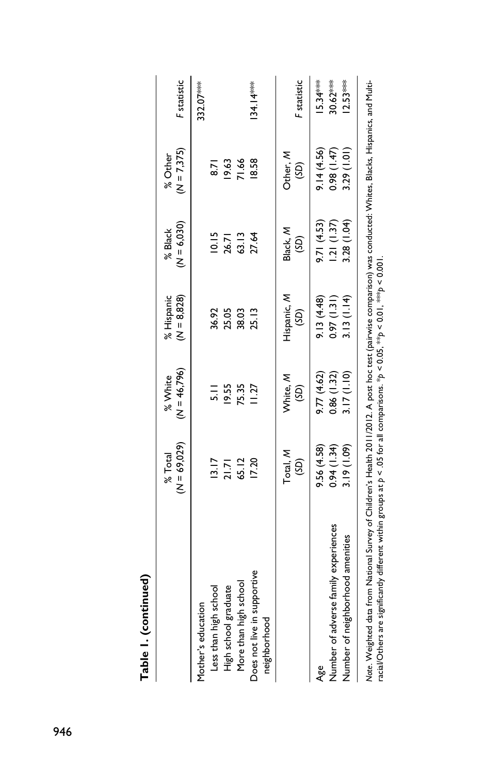| ١<br>I |
|--------|
|        |
| ī      |

|                                                                                                                                                                     | $(N = 69,029)$<br>%Total                 | ( $N = 46,796$ )<br>% White             | $(N = 8,828)$<br>% Hispanic         | $(N = 6,030)$<br>% Black                 | $(N = 7,375)$<br>% Other                       | F statistic                            |
|---------------------------------------------------------------------------------------------------------------------------------------------------------------------|------------------------------------------|-----------------------------------------|-------------------------------------|------------------------------------------|------------------------------------------------|----------------------------------------|
| Mother's education                                                                                                                                                  |                                          |                                         |                                     |                                          |                                                | $332.07***$                            |
| Less than high school                                                                                                                                               | 13.17                                    | $\bar{5}$                               |                                     | 10.15                                    | $\bar{5}$                                      |                                        |
| High school graduate                                                                                                                                                | 21.71                                    | 19.55                                   | 36.93<br>36.93<br>38.93             | 26.71                                    | 19.63                                          |                                        |
| More than high school                                                                                                                                               | 65.12                                    | 75.35                                   |                                     | 63.13                                    | 71.66                                          |                                        |
| Does not live in supportive<br>neighborhood                                                                                                                         | 17.20                                    | $\overline{121}$                        | 25.13                               | 27.64                                    | 18.58                                          | 134.14***                              |
|                                                                                                                                                                     | Total, M<br><u>(SD)</u>                  | White, M<br>$\overline{3}$              | Hispanic, M<br>(50)                 | Black, M<br>$\widetilde{S}$              | Other, M<br>$\widetilde{S}$                    | F statistic                            |
| Number of adverse family experiences<br>Number of neighborhood amenities<br>Age                                                                                     | 9.56 (4.58)<br>0.94(1.34)<br>8.19 (1.09) | 0.86(1.32)<br>9.77 (4.62)<br>3.17(1.10) | 9.13 (4.48)<br>3.13(1.14)<br>(1.31) | 9.71 (4.53)<br>3.28 (1.04)<br>1.21(1.37) | 3.29 (1.01)<br>9.14 (4.56)<br>$(1.47)$ 8(0.47) | $15.34***$<br>$30.62***$<br>$12.53***$ |
| Note. Weighted data from National Survey of Children's Health 2011/2012. A post hoc test (pairwise comparison) was conducted: Whites, Blacks, Hispanics, and Multi- |                                          |                                         |                                     |                                          |                                                |                                        |

racial/Others are significantly different within groups at  $p < 0.5$  for all comparisons. \*p < 0.05, \*\*p < 0.01, \*\*p < 0.001. racial/Others are significantly different within groups at *p* < .05 for all comparisons. \**p* < 0.05, \*\**p* < 0.01, \*\*\**p* < 0.001.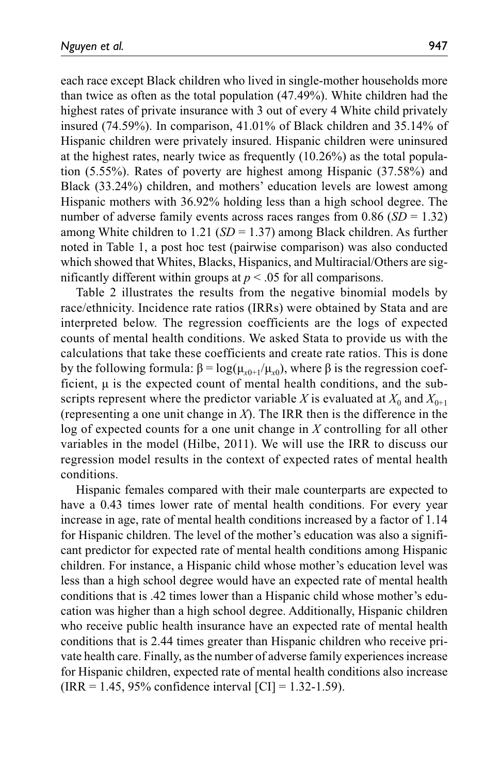each race except Black children who lived in single-mother households more than twice as often as the total population (47.49%). White children had the highest rates of private insurance with 3 out of every 4 White child privately insured (74.59%). In comparison, 41.01% of Black children and 35.14% of Hispanic children were privately insured. Hispanic children were uninsured at the highest rates, nearly twice as frequently (10.26%) as the total population (5.55%). Rates of poverty are highest among Hispanic (37.58%) and Black (33.24%) children, and mothers' education levels are lowest among Hispanic mothers with 36.92% holding less than a high school degree. The number of adverse family events across races ranges from 0.86 (*SD* = 1.32) among White children to 1.21 (*SD* = 1.37) among Black children. As further noted in Table 1, a post hoc test (pairwise comparison) was also conducted which showed that Whites, Blacks, Hispanics, and Multiracial/Others are significantly different within groups at  $p < 0.05$  for all comparisons.

Table 2 illustrates the results from the negative binomial models by race/ethnicity. Incidence rate ratios (IRRs) were obtained by Stata and are interpreted below. The regression coefficients are the logs of expected counts of mental health conditions. We asked Stata to provide us with the calculations that take these coefficients and create rate ratios. This is done by the following formula:  $β = log(\mu_{x0+1}/\mu_{x0})$ , where β is the regression coefficient,  $\mu$  is the expected count of mental health conditions, and the subscripts represent where the predictor variable *X* is evaluated at  $X_0$  and  $X_{0+1}$ (representing a one unit change in *X*). The IRR then is the difference in the log of expected counts for a one unit change in *X* controlling for all other variables in the model (Hilbe, 2011). We will use the IRR to discuss our regression model results in the context of expected rates of mental health conditions.

Hispanic females compared with their male counterparts are expected to have a 0.43 times lower rate of mental health conditions. For every year increase in age, rate of mental health conditions increased by a factor of 1.14 for Hispanic children. The level of the mother's education was also a significant predictor for expected rate of mental health conditions among Hispanic children. For instance, a Hispanic child whose mother's education level was less than a high school degree would have an expected rate of mental health conditions that is .42 times lower than a Hispanic child whose mother's education was higher than a high school degree. Additionally, Hispanic children who receive public health insurance have an expected rate of mental health conditions that is 2.44 times greater than Hispanic children who receive private health care. Finally, as the number of adverse family experiences increase for Hispanic children, expected rate of mental health conditions also increase  $(IRR = 1.45, 95\% confidence interval [CI] = 1.32-1.59).$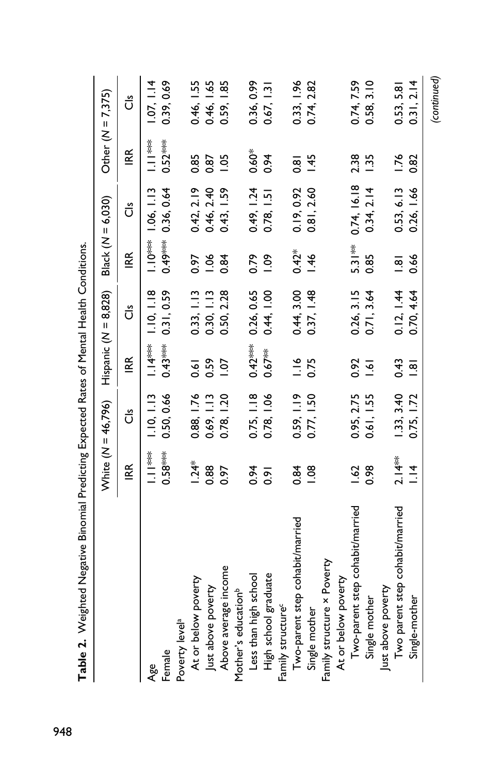| Table 2. Weighted Negative Binomial Predicting Expected Rates of Mental Health Conditions. |                                |                       |                    |                        |                |                      |                |                       |
|--------------------------------------------------------------------------------------------|--------------------------------|-----------------------|--------------------|------------------------|----------------|----------------------|----------------|-----------------------|
|                                                                                            |                                | White $(N = 46, 796)$ |                    | $Hispanic (N = 8,828)$ |                | Black (N = 6,030)    |                | Other ( $N = 7,375$ ) |
|                                                                                            | lRR                            | อ๊                    | IR <sub>R</sub>    | ื่อื                   | Iξ             | อ๊                   | ſΚ             | ฉ๊                    |
| Age                                                                                        | $\frac{1}{2}$<br>$\frac{1}{2}$ | 110, 113              | $1.14***$          | 1.10, 1.18             |                | $1.10***$ 1.06, 1.13 | ※<br>二二        | 1.07, 1.14            |
| Female                                                                                     | $0.58***$                      | 0.50, 0.66            |                    | $0.43***$ 0.31, 0.59   |                | $0.49***$ 0.36, 0.64 | $0.52***$      | 0.39, 0.69            |
| Poverty level <sup>a</sup>                                                                 |                                |                       |                    |                        |                |                      |                |                       |
| At or below poverty                                                                        | $1.24*$                        | 0.88, 1.76            | 0.61               | 0.33, 1.13             | 0.97           | 0.42, 2.19           | 0.85           | 0.46, 1.55            |
| Just above poverty                                                                         | 0.88                           | 0.69, 1.13            | 0.59               | 0.30, 1.13             | 0.06           | 0.46, 2.40           | 0.87           | 0.46, 1.65            |
| Above average income                                                                       | 0.97                           | 0.78, 1.20            | $\overline{5}$     | 0.50, 2.28             | 0.84           | 0.43, 1.59           | 1.05           | 0.59, 1.85            |
| Mother's educationb                                                                        |                                |                       |                    |                        |                |                      |                |                       |
| Less than high school                                                                      | 0.94                           | 0.75, 1.18            | $0.42***$          | 0.26, 0.65             | 0.79           | 0.49, 1.24           | <b>0.60*</b>   | 0.36, 0.99            |
| High school graduate                                                                       | $\overline{6}$                 | 0.78, 1.06            | $0.67**$           | 0.44, 1.00             | <u>ဇ</u>       | 0.78, 1.5            | 0.94           | 0.67, 1.31            |
| Family structure <sup>c</sup>                                                              |                                |                       |                    |                        |                |                      |                |                       |
| Two-parent step cohabit/married                                                            | 0.84                           | 0.59, 1.19            | $\frac{8}{1}$      | 0.44, 3.00             | $0.42*$        | 0.19, 0.92           | <u>ត្ត</u>     | 0.33, 1.96            |
| Single mother                                                                              | $\frac{80}{1}$                 | 0.77, 1.50            | 0.75               | 0.37, 1.48             | $\frac{46}{5}$ | 0.81, 2.60           | $\frac{45}{5}$ | 0.74, 2.82            |
| Family structure x Poverty                                                                 |                                |                       |                    |                        |                |                      |                |                       |
| At or below poverty                                                                        |                                |                       |                    |                        |                |                      |                |                       |
| Two-parent step cohabit/married                                                            | $\overline{5}$                 | 0.95, 2.75            | 0.92               | 0.26, 3.15             | $5.31**$       | 0.74, 16.18          | 2.38           | 0.74, 7.59            |
| Single mother                                                                              | 0.98                           | 0.61, 1.55            | $\frac{1}{2}$      | 0.71, 3.64             | 0.85           | 0.34, 2.14           | 1.35           | 0.58, 3.10            |
| Just above poverty                                                                         |                                |                       |                    |                        |                |                      |                |                       |
| Two parent step cohabit/married                                                            | $2.14**$                       | 1.33, 3.40            | 0.43               | 0.12, 1.44             | $\frac{1}{2}$  | 0.53, 6.13           | 1.76           | 0.53, 5.81            |
| Single-mother                                                                              | $\frac{4}{1}$                  | 0.75, 1.72            | $\frac{1}{\infty}$ | 0.70, 4.64             | 0.66           | 0.26, 1.66           | 0.82           | 0.31, 2.14            |
|                                                                                            |                                |                       |                    |                        |                |                      |                | (continued)           |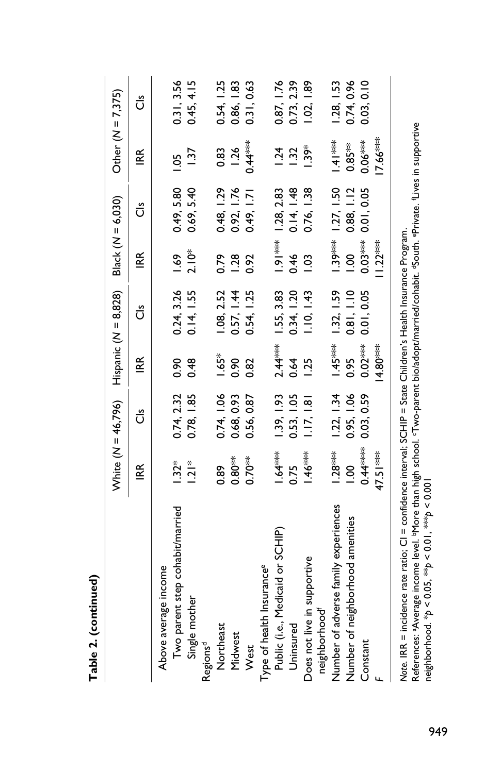|                                       |           |            |             | White ( $N = 46,796$ ) Hispanic ( $N = 8,828$ ) |                | Black (N = 6,030)            | Other ( $N = 7,375$ ) |            |
|---------------------------------------|-----------|------------|-------------|-------------------------------------------------|----------------|------------------------------|-----------------------|------------|
|                                       | ⊯         | ő          | ſΚ          | ő                                               | ΙŘ             | ื่อ                          | 医                     | ő          |
| Above average income                  |           |            |             |                                                 |                |                              |                       |            |
| Two parent step cohabit/married       | $1.32*$   | 0.74, 2.32 | 0.90        | 0.24, 3.26                                      | $\frac{69}{1}$ | 0.49, 5.80                   | $-1.05$               | 0.31, 3.56 |
| Single mother                         | $1.21*$   | 0.78, 1.85 | 0.48        | 0.14, 1.55                                      | $2.10*$        | 0.69, 5.40                   | $\overline{137}$      | 0.45, 4.15 |
| Regions <sup>d</sup>                  |           |            |             |                                                 |                |                              |                       |            |
| Northeast                             | 0.89      | 0.74, 1.06 | $-55*$      | 1.08, 2.52                                      | 0.79           | 0.48, 1.29                   | 0.83                  | 0.54, 1.25 |
| Midwest                               | $0.80**$  | 0.68, 0.93 | 0.90        | 0.57, 1.44                                      | 28             | 0.92, 1.76                   | 1.26                  | 0.86, 1.83 |
| West                                  | $0.70**$  | 0.56, 0.87 | 0.82        | 0.54, 1.25                                      | 0.92           | 0.49, 1.71                   | $0.44***$             | 0.31, 0.63 |
| Type of health Insurance <sup>e</sup> |           |            |             |                                                 |                |                              |                       |            |
| Public (i.e., Medicaid or SCHIP)      | $1.64***$ | 1.39, 1.93 | $2.44***$   | 1.55, 3.83                                      |                | $1.91***$ 1.28, 2.83         | $\frac{24}{5}$        | 0.87, 1.76 |
| Uninsured                             | 0.75      | 0.53, 1.05 | 0.64        | 0.34, 1.20                                      | 0.46           |                              | 1.32                  | 0.73, 2.39 |
| Does not live in supportive           | $1.46***$ | 1.17, 1.81 | <b>1.25</b> | 1.10, 1.43                                      | $\frac{3}{2}$  | $0.14, 1.48$<br>$0.76, 1.38$ | $1.39*$               | .02, 1.89  |
| neighborhood <sup>"</sup>             |           |            |             |                                                 |                |                              |                       |            |
| Number of adverse family experiences  | $1.28***$ | 1.22, 1.34 | $1.45***$   | 1.32, 1.59                                      | $1.39***$      | 1.27, 1.50                   | $1.41$ **             | .28, 1.53  |
| Number of neighborhood amenities      | 8<br>Si   | 0.95, 1.06 | 0.95        | 0.81, 1.10                                      | S              | 0.88, 1.12                   | $0.85**$              | 0.74, 0.96 |
| Constant                              | $0.44***$ | 0.03, 0.59 | $0.02***$   | 0.01, 0.05                                      | $0.03***$      | 0.01, 0.05                   | $0.06***$             | 0.03, 0.10 |
|                                       | 47.51***  |            | $4.80***$   |                                                 | $1.22***$      |                              | $17.66***$            |            |
|                                       |           |            |             |                                                 |                |                              |                       |            |

**Table 2. (continued)**

Table 2. (continued)

References: Average income level. <sup>b</sup>More than high school. 'Two-parent bio/adopt/married/cohabit. 'South. 'Private. 'Lives in supportive<br>neighborhood. \*p < 0.05, \*\*p < 0.01, \*\*\*p < 0.001 References: aAverage income level. bMore than high school. cTwo-parent bio/adopt/married/cohabit. dSouth. ePrivate. fLives in supportive Note. IRR = incidence rate ratio; CI = confidence interval; SCHIP = State Children's Health Insurance Program. *Note*. IRR = incidence rate ratio; CI = confidence interval; SCHIP = State Children's Health Insurance Program. neighborhood. \**p* < 0.05, \*\**p* < 0.01, \*\*\**p* < 0.001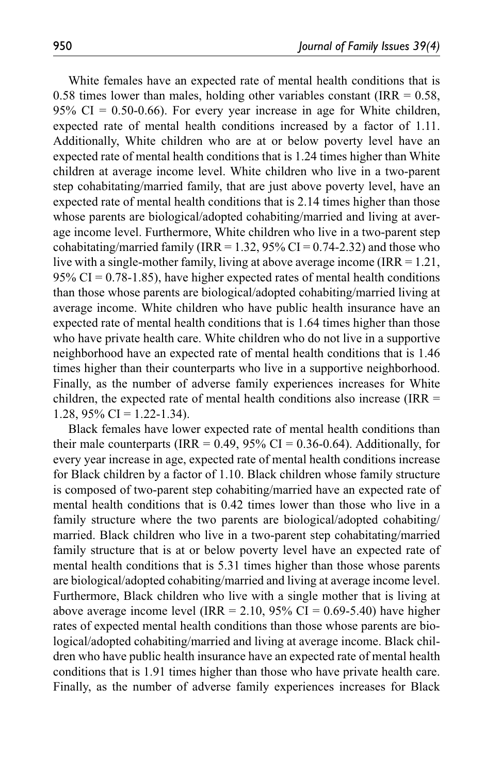White females have an expected rate of mental health conditions that is 0.58 times lower than males, holding other variables constant (IRR =  $0.58$ ,  $95\%$  CI = 0.50-0.66). For every year increase in age for White children, expected rate of mental health conditions increased by a factor of 1.11. Additionally, White children who are at or below poverty level have an expected rate of mental health conditions that is 1.24 times higher than White children at average income level. White children who live in a two-parent step cohabitating/married family, that are just above poverty level, have an expected rate of mental health conditions that is 2.14 times higher than those whose parents are biological/adopted cohabiting/married and living at average income level. Furthermore, White children who live in a two-parent step cohabitating/married family (IRR = 1.32, 95% CI =  $0.74$ -2.32) and those who live with a single-mother family, living at above average income (IRR  $= 1.21$ , 95% CI =  $0.78$ -1.85), have higher expected rates of mental health conditions than those whose parents are biological/adopted cohabiting/married living at average income. White children who have public health insurance have an expected rate of mental health conditions that is 1.64 times higher than those who have private health care. White children who do not live in a supportive neighborhood have an expected rate of mental health conditions that is 1.46 times higher than their counterparts who live in a supportive neighborhood. Finally, as the number of adverse family experiences increases for White children, the expected rate of mental health conditions also increase (IRR = 1.28,  $95\%$  CI = 1.22-1.34).

Black females have lower expected rate of mental health conditions than their male counterparts (IRR =  $0.49$ ,  $95\%$  CI =  $0.36$ - $0.64$ ). Additionally, for every year increase in age, expected rate of mental health conditions increase for Black children by a factor of 1.10. Black children whose family structure is composed of two-parent step cohabiting/married have an expected rate of mental health conditions that is 0.42 times lower than those who live in a family structure where the two parents are biological/adopted cohabiting/ married. Black children who live in a two-parent step cohabitating/married family structure that is at or below poverty level have an expected rate of mental health conditions that is 5.31 times higher than those whose parents are biological/adopted cohabiting/married and living at average income level. Furthermore, Black children who live with a single mother that is living at above average income level (IRR = 2.10, 95% CI =  $0.69-5.40$ ) have higher rates of expected mental health conditions than those whose parents are biological/adopted cohabiting/married and living at average income. Black children who have public health insurance have an expected rate of mental health conditions that is 1.91 times higher than those who have private health care. Finally, as the number of adverse family experiences increases for Black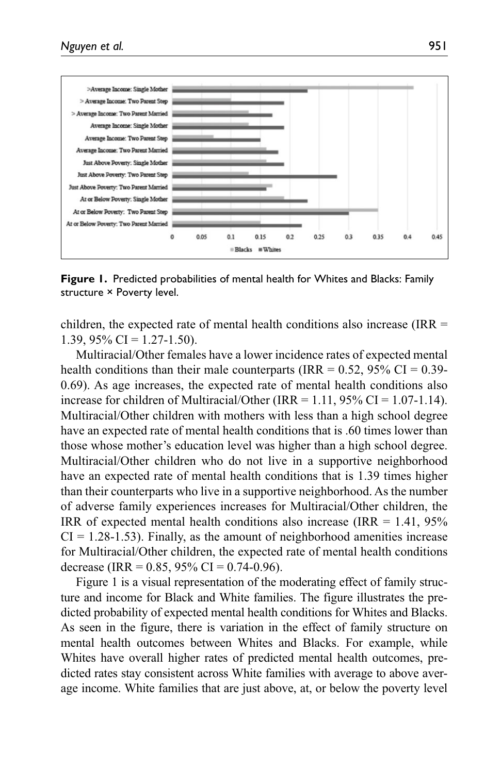

**Figure 1.** Predicted probabilities of mental health for Whites and Blacks: Family structure × Poverty level.

children, the expected rate of mental health conditions also increase (IRR = 1.39,  $95\%$  CI = 1.27-1.50).

Multiracial/Other females have a lower incidence rates of expected mental health conditions than their male counterparts (IRR =  $0.52$ ,  $95\%$  CI =  $0.39$ -0.69). As age increases, the expected rate of mental health conditions also increase for children of Multiracial/Other (IRR = 1.11, 95% CI =  $1.07-1.14$ ). Multiracial/Other children with mothers with less than a high school degree have an expected rate of mental health conditions that is .60 times lower than those whose mother's education level was higher than a high school degree. Multiracial/Other children who do not live in a supportive neighborhood have an expected rate of mental health conditions that is 1.39 times higher than their counterparts who live in a supportive neighborhood. As the number of adverse family experiences increases for Multiracial/Other children, the IRR of expected mental health conditions also increase (IRR  $= 1.41, 95\%$ )  $CI = 1.28-1.53$ . Finally, as the amount of neighborhood amenities increase for Multiracial/Other children, the expected rate of mental health conditions decrease (IRR =  $0.85$ ,  $95\%$  CI =  $0.74$ -0.96).

Figure 1 is a visual representation of the moderating effect of family structure and income for Black and White families. The figure illustrates the predicted probability of expected mental health conditions for Whites and Blacks. As seen in the figure, there is variation in the effect of family structure on mental health outcomes between Whites and Blacks. For example, while Whites have overall higher rates of predicted mental health outcomes, predicted rates stay consistent across White families with average to above average income. White families that are just above, at, or below the poverty level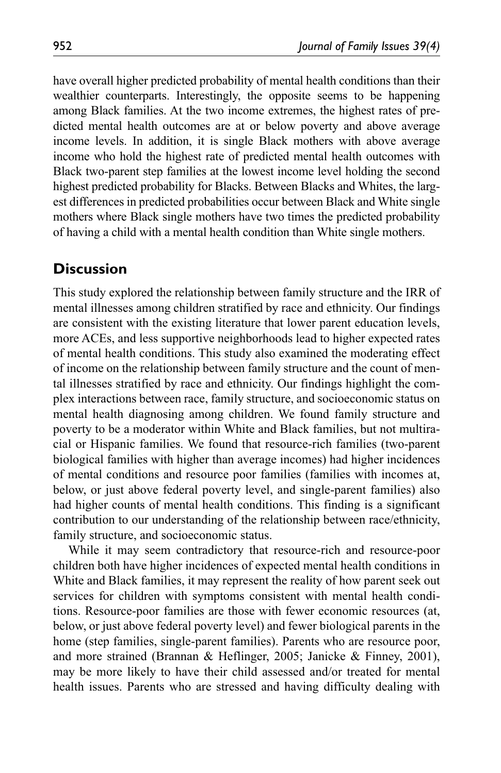have overall higher predicted probability of mental health conditions than their wealthier counterparts. Interestingly, the opposite seems to be happening among Black families. At the two income extremes, the highest rates of predicted mental health outcomes are at or below poverty and above average income levels. In addition, it is single Black mothers with above average income who hold the highest rate of predicted mental health outcomes with Black two-parent step families at the lowest income level holding the second highest predicted probability for Blacks. Between Blacks and Whites, the largest differences in predicted probabilities occur between Black and White single mothers where Black single mothers have two times the predicted probability of having a child with a mental health condition than White single mothers.

#### **Discussion**

This study explored the relationship between family structure and the IRR of mental illnesses among children stratified by race and ethnicity. Our findings are consistent with the existing literature that lower parent education levels, more ACEs, and less supportive neighborhoods lead to higher expected rates of mental health conditions. This study also examined the moderating effect of income on the relationship between family structure and the count of mental illnesses stratified by race and ethnicity. Our findings highlight the complex interactions between race, family structure, and socioeconomic status on mental health diagnosing among children. We found family structure and poverty to be a moderator within White and Black families, but not multiracial or Hispanic families. We found that resource-rich families (two-parent biological families with higher than average incomes) had higher incidences of mental conditions and resource poor families (families with incomes at, below, or just above federal poverty level, and single-parent families) also had higher counts of mental health conditions. This finding is a significant contribution to our understanding of the relationship between race/ethnicity, family structure, and socioeconomic status.

While it may seem contradictory that resource-rich and resource-poor children both have higher incidences of expected mental health conditions in White and Black families, it may represent the reality of how parent seek out services for children with symptoms consistent with mental health conditions. Resource-poor families are those with fewer economic resources (at, below, or just above federal poverty level) and fewer biological parents in the home (step families, single-parent families). Parents who are resource poor, and more strained (Brannan & Heflinger, 2005; Janicke & Finney, 2001), may be more likely to have their child assessed and/or treated for mental health issues. Parents who are stressed and having difficulty dealing with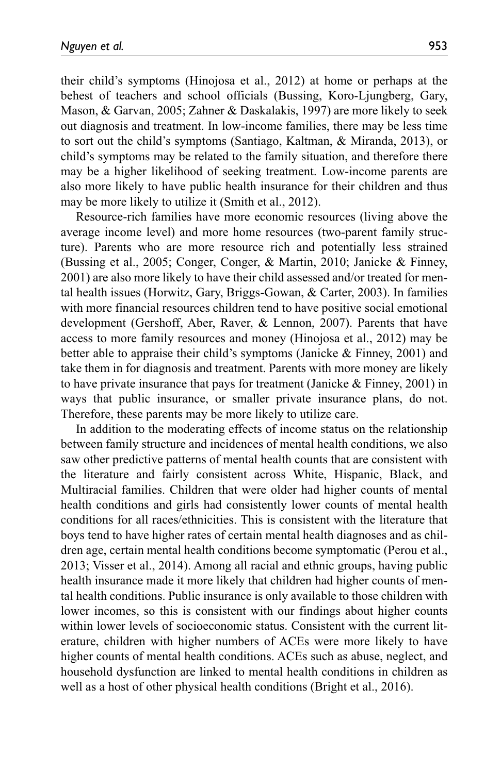their child's symptoms (Hinojosa et al., 2012) at home or perhaps at the behest of teachers and school officials (Bussing, Koro-Ljungberg, Gary, Mason, & Garvan, 2005; Zahner & Daskalakis, 1997) are more likely to seek out diagnosis and treatment. In low-income families, there may be less time to sort out the child's symptoms (Santiago, Kaltman, & Miranda, 2013), or child's symptoms may be related to the family situation, and therefore there may be a higher likelihood of seeking treatment. Low-income parents are also more likely to have public health insurance for their children and thus may be more likely to utilize it (Smith et al., 2012).

Resource-rich families have more economic resources (living above the average income level) and more home resources (two-parent family structure). Parents who are more resource rich and potentially less strained (Bussing et al., 2005; Conger, Conger, & Martin, 2010; Janicke & Finney, 2001) are also more likely to have their child assessed and/or treated for mental health issues (Horwitz, Gary, Briggs-Gowan, & Carter, 2003). In families with more financial resources children tend to have positive social emotional development (Gershoff, Aber, Raver, & Lennon, 2007). Parents that have access to more family resources and money (Hinojosa et al., 2012) may be better able to appraise their child's symptoms (Janicke & Finney, 2001) and take them in for diagnosis and treatment. Parents with more money are likely to have private insurance that pays for treatment (Janicke & Finney, 2001) in ways that public insurance, or smaller private insurance plans, do not. Therefore, these parents may be more likely to utilize care.

In addition to the moderating effects of income status on the relationship between family structure and incidences of mental health conditions, we also saw other predictive patterns of mental health counts that are consistent with the literature and fairly consistent across White, Hispanic, Black, and Multiracial families. Children that were older had higher counts of mental health conditions and girls had consistently lower counts of mental health conditions for all races/ethnicities. This is consistent with the literature that boys tend to have higher rates of certain mental health diagnoses and as children age, certain mental health conditions become symptomatic (Perou et al., 2013; Visser et al., 2014). Among all racial and ethnic groups, having public health insurance made it more likely that children had higher counts of mental health conditions. Public insurance is only available to those children with lower incomes, so this is consistent with our findings about higher counts within lower levels of socioeconomic status. Consistent with the current literature, children with higher numbers of ACEs were more likely to have higher counts of mental health conditions. ACEs such as abuse, neglect, and household dysfunction are linked to mental health conditions in children as well as a host of other physical health conditions (Bright et al., 2016).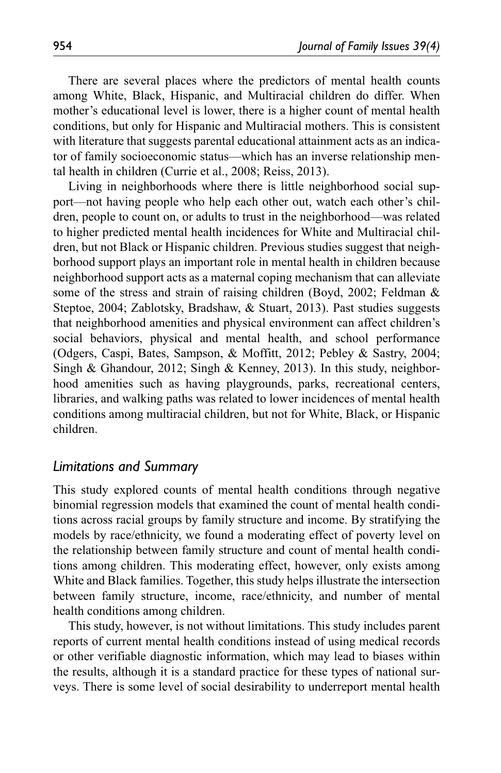There are several places where the predictors of mental health counts among White, Black, Hispanic, and Multiracial children do differ. When mother's educational level is lower, there is a higher count of mental health conditions, but only for Hispanic and Multiracial mothers. This is consistent with literature that suggests parental educational attainment acts as an indicator of family socioeconomic status—which has an inverse relationship mental health in children (Currie et al., 2008; Reiss, 2013).

Living in neighborhoods where there is little neighborhood social support—not having people who help each other out, watch each other's children, people to count on, or adults to trust in the neighborhood—was related to higher predicted mental health incidences for White and Multiracial children, but not Black or Hispanic children. Previous studies suggest that neighborhood support plays an important role in mental health in children because neighborhood support acts as a maternal coping mechanism that can alleviate some of the stress and strain of raising children (Boyd, 2002; Feldman & Steptoe, 2004; Zablotsky, Bradshaw, & Stuart, 2013). Past studies suggests that neighborhood amenities and physical environment can affect children's social behaviors, physical and mental health, and school performance (Odgers, Caspi, Bates, Sampson, & Moffitt, 2012; Pebley & Sastry, 2004; Singh & Ghandour, 2012; Singh & Kenney, 2013). In this study, neighborhood amenities such as having playgrounds, parks, recreational centers, libraries, and walking paths was related to lower incidences of mental health conditions among multiracial children, but not for White, Black, or Hispanic children.

#### *Limitations and Summary*

This study explored counts of mental health conditions through negative binomial regression models that examined the count of mental health conditions across racial groups by family structure and income. By stratifying the models by race/ethnicity, we found a moderating effect of poverty level on the relationship between family structure and count of mental health conditions among children. This moderating effect, however, only exists among White and Black families. Together, this study helps illustrate the intersection between family structure, income, race/ethnicity, and number of mental health conditions among children.

This study, however, is not without limitations. This study includes parent reports of current mental health conditions instead of using medical records or other verifiable diagnostic information, which may lead to biases within the results, although it is a standard practice for these types of national surveys. There is some level of social desirability to underreport mental health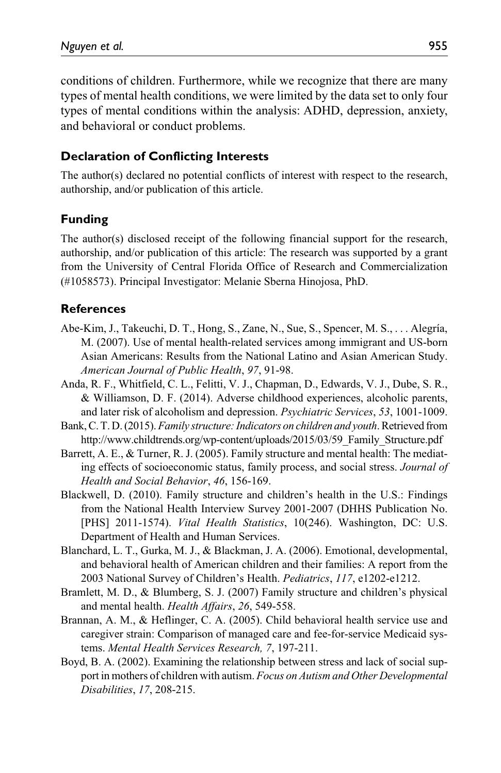conditions of children. Furthermore, while we recognize that there are many types of mental health conditions, we were limited by the data set to only four types of mental conditions within the analysis: ADHD, depression, anxiety, and behavioral or conduct problems.

#### **Declaration of Conflicting Interests**

The author(s) declared no potential conflicts of interest with respect to the research, authorship, and/or publication of this article.

#### **Funding**

The author(s) disclosed receipt of the following financial support for the research, authorship, and/or publication of this article: The research was supported by a grant from the University of Central Florida Office of Research and Commercialization (#1058573). Principal Investigator: Melanie Sberna Hinojosa, PhD.

#### **References**

- Abe-Kim, J., Takeuchi, D. T., Hong, S., Zane, N., Sue, S., Spencer, M. S., . . . Alegría, M. (2007). Use of mental health-related services among immigrant and US-born Asian Americans: Results from the National Latino and Asian American Study. *American Journal of Public Health*, *97*, 91-98.
- Anda, R. F., Whitfield, C. L., Felitti, V. J., Chapman, D., Edwards, V. J., Dube, S. R., & Williamson, D. F. (2014). Adverse childhood experiences, alcoholic parents, and later risk of alcoholism and depression. *Psychiatric Services*, *53*, 1001-1009.
- Bank, C. T. D. (2015). *Family structure: Indicators on children and youth*. Retrieved from [http://www.childtrends.org/wp-content/uploads/2015/03/59\\_Family\\_Structure.pdf](http://www.childtrends.org/wp-content/uploads/2015/03/59_Family_Structure.pdf)
- Barrett, A. E., & Turner, R. J. (2005). Family structure and mental health: The mediating effects of socioeconomic status, family process, and social stress. *Journal of Health and Social Behavior*, *46*, 156-169.
- Blackwell, D. (2010). Family structure and children's health in the U.S.: Findings from the National Health Interview Survey 2001-2007 (DHHS Publication No. [PHS] 2011-1574). *Vital Health Statistics*, 10(246). Washington, DC: U.S. Department of Health and Human Services.
- Blanchard, L. T., Gurka, M. J., & Blackman, J. A. (2006). Emotional, developmental, and behavioral health of American children and their families: A report from the 2003 National Survey of Children's Health. *Pediatrics*, *117*, e1202-e1212.
- Bramlett, M. D., & Blumberg, S. J. (2007) Family structure and children's physical and mental health. *Health Affairs*, *26*, 549-558.
- Brannan, A. M., & Heflinger, C. A. (2005). Child behavioral health service use and caregiver strain: Comparison of managed care and fee-for-service Medicaid systems. *Mental Health Services Research, 7*, 197-211.
- Boyd, B. A. (2002). Examining the relationship between stress and lack of social support in mothers of children with autism. *Focus on Autism and Other Developmental Disabilities*, *17*, 208-215.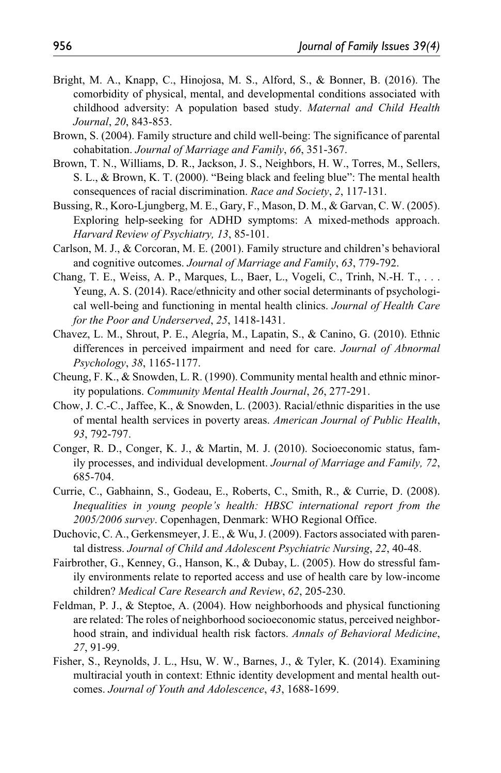- Bright, M. A., Knapp, C., Hinojosa, M. S., Alford, S., & Bonner, B. (2016). The comorbidity of physical, mental, and developmental conditions associated with childhood adversity: A population based study. *Maternal and Child Health Journal*, *20*, 843-853.
- Brown, S. (2004). Family structure and child well-being: The significance of parental cohabitation. *Journal of Marriage and Family*, *66*, 351-367.
- Brown, T. N., Williams, D. R., Jackson, J. S., Neighbors, H. W., Torres, M., Sellers, S. L., & Brown, K. T. (2000). "Being black and feeling blue": The mental health consequences of racial discrimination. *Race and Society*, *2*, 117-131.
- Bussing, R., Koro-Ljungberg, M. E., Gary, F., Mason, D. M., & Garvan, C. W. (2005). Exploring help-seeking for ADHD symptoms: A mixed-methods approach. *Harvard Review of Psychiatry, 13*, 85-101.
- Carlson, M. J., & Corcoran, M. E. (2001). Family structure and children's behavioral and cognitive outcomes. *Journal of Marriage and Family*, *63*, 779-792.
- Chang, T. E., Weiss, A. P., Marques, L., Baer, L., Vogeli, C., Trinh, N.-H. T., . . . Yeung, A. S. (2014). Race/ethnicity and other social determinants of psychological well-being and functioning in mental health clinics. *Journal of Health Care for the Poor and Underserved*, *25*, 1418-1431.
- Chavez, L. M., Shrout, P. E., Alegría, M., Lapatin, S., & Canino, G. (2010). Ethnic differences in perceived impairment and need for care. *Journal of Abnormal Psychology*, *38*, 1165-1177.
- Cheung, F. K., & Snowden, L. R. (1990). Community mental health and ethnic minority populations. *Community Mental Health Journal*, *26*, 277-291.
- Chow, J. C.-C., Jaffee, K., & Snowden, L. (2003). Racial/ethnic disparities in the use of mental health services in poverty areas. *American Journal of Public Health*, *93*, 792-797.
- Conger, R. D., Conger, K. J., & Martin, M. J. (2010). Socioeconomic status, family processes, and individual development. *Journal of Marriage and Family, 72*, 685-704.
- Currie, C., Gabhainn, S., Godeau, E., Roberts, C., Smith, R., & Currie, D. (2008). *Inequalities in young people's health: HBSC international report from the 2005/2006 survey*. Copenhagen, Denmark: WHO Regional Office.
- Duchovic, C. A., Gerkensmeyer, J. E., & Wu, J. (2009). Factors associated with parental distress. *Journal of Child and Adolescent Psychiatric Nursing*, *22*, 40-48.
- Fairbrother, G., Kenney, G., Hanson, K., & Dubay, L. (2005). How do stressful family environments relate to reported access and use of health care by low-income children? *Medical Care Research and Review*, *62*, 205-230.
- Feldman, P. J., & Steptoe, A. (2004). How neighborhoods and physical functioning are related: The roles of neighborhood socioeconomic status, perceived neighborhood strain, and individual health risk factors. *Annals of Behavioral Medicine*, *27*, 91-99.
- Fisher, S., Reynolds, J. L., Hsu, W. W., Barnes, J., & Tyler, K. (2014). Examining multiracial youth in context: Ethnic identity development and mental health outcomes. *Journal of Youth and Adolescence*, *43*, 1688-1699.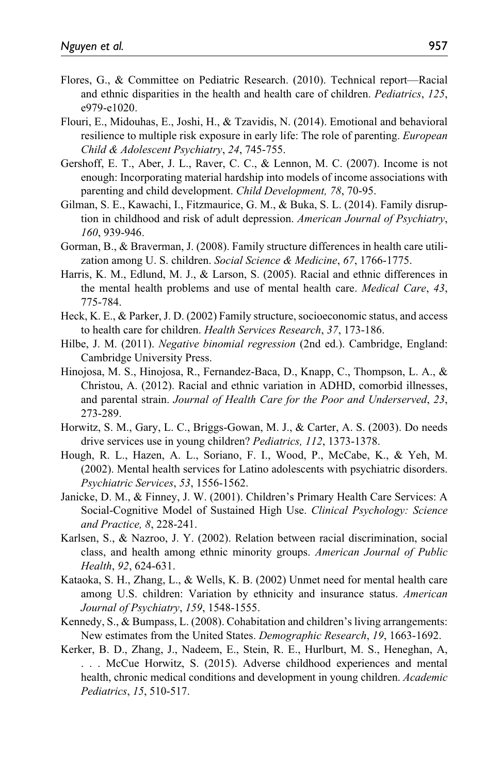- Flores, G., & Committee on Pediatric Research. (2010). Technical report—Racial and ethnic disparities in the health and health care of children. *Pediatrics*, *125*, e979-e1020.
- Flouri, E., Midouhas, E., Joshi, H., & Tzavidis, N. (2014). Emotional and behavioral resilience to multiple risk exposure in early life: The role of parenting. *European Child & Adolescent Psychiatry*, *24*, 745-755.
- Gershoff, E. T., Aber, J. L., Raver, C. C., & Lennon, M. C. (2007). Income is not enough: Incorporating material hardship into models of income associations with parenting and child development. *Child Development, 78*, 70-95.
- Gilman, S. E., Kawachi, I., Fitzmaurice, G. M., & Buka, S. L. (2014). Family disruption in childhood and risk of adult depression. *American Journal of Psychiatry*, *160*, 939-946.
- Gorman, B., & Braverman, J. (2008). Family structure differences in health care utilization among U. S. children. *Social Science & Medicine*, *67*, 1766-1775.
- Harris, K. M., Edlund, M. J., & Larson, S. (2005). Racial and ethnic differences in the mental health problems and use of mental health care. *Medical Care*, *43*, 775-784.
- Heck, K. E., & Parker, J. D. (2002) Family structure, socioeconomic status, and access to health care for children. *Health Services Research*, *37*, 173-186.
- Hilbe, J. M. (2011). *Negative binomial regression* (2nd ed.). Cambridge, England: Cambridge University Press.
- Hinojosa, M. S., Hinojosa, R., Fernandez-Baca, D., Knapp, C., Thompson, L. A., & Christou, A. (2012). Racial and ethnic variation in ADHD, comorbid illnesses, and parental strain. *Journal of Health Care for the Poor and Underserved*, *23*, 273-289.
- Horwitz, S. M., Gary, L. C., Briggs-Gowan, M. J., & Carter, A. S. (2003). Do needs drive services use in young children? *Pediatrics, 112*, 1373-1378.
- Hough, R. L., Hazen, A. L., Soriano, F. I., Wood, P., McCabe, K., & Yeh, M. (2002). Mental health services for Latino adolescents with psychiatric disorders. *Psychiatric Services*, *53*, 1556-1562.
- Janicke, D. M., & Finney, J. W. (2001). Children's Primary Health Care Services: A Social-Cognitive Model of Sustained High Use. *Clinical Psychology: Science and Practice, 8*, 228-241.
- Karlsen, S., & Nazroo, J. Y. (2002). Relation between racial discrimination, social class, and health among ethnic minority groups. *American Journal of Public Health*, *92*, 624-631.
- Kataoka, S. H., Zhang, L., & Wells, K. B. (2002) Unmet need for mental health care among U.S. children: Variation by ethnicity and insurance status. *American Journal of Psychiatry*, *159*, 1548-1555.
- Kennedy, S., & Bumpass, L. (2008). Cohabitation and children's living arrangements: New estimates from the United States. *Demographic Research*, *19*, 1663-1692.
- Kerker, B. D., Zhang, J., Nadeem, E., Stein, R. E., Hurlburt, M. S., Heneghan, A, . . . McCue Horwitz, S. (2015). Adverse childhood experiences and mental health, chronic medical conditions and development in young children. *Academic Pediatrics*, *15*, 510-517.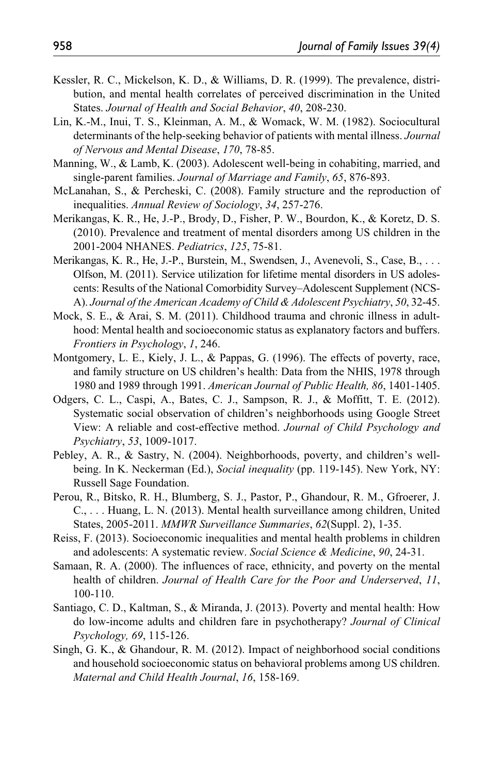- Kessler, R. C., Mickelson, K. D., & Williams, D. R. (1999). The prevalence, distribution, and mental health correlates of perceived discrimination in the United States. *Journal of Health and Social Behavior*, *40*, 208-230.
- Lin, K.-M., Inui, T. S., Kleinman, A. M., & Womack, W. M. (1982). Sociocultural determinants of the help-seeking behavior of patients with mental illness. *Journal of Nervous and Mental Disease*, *170*, 78-85.
- Manning, W., & Lamb, K. (2003). Adolescent well-being in cohabiting, married, and single-parent families. *Journal of Marriage and Family*, *65*, 876-893.
- McLanahan, S., & Percheski, C. (2008). Family structure and the reproduction of inequalities. *Annual Review of Sociology*, *34*, 257-276.
- Merikangas, K. R., He, J.-P., Brody, D., Fisher, P. W., Bourdon, K., & Koretz, D. S. (2010). Prevalence and treatment of mental disorders among US children in the 2001-2004 NHANES. *Pediatrics*, *125*, 75-81.
- Merikangas, K. R., He, J.-P., Burstein, M., Swendsen, J., Avenevoli, S., Case, B., . . . Olfson, M. (2011). Service utilization for lifetime mental disorders in US adolescents: Results of the National Comorbidity Survey–Adolescent Supplement (NCS-A). *Journal of the American Academy of Child & Adolescent Psychiatry*, *50*, 32-45.
- Mock, S. E., & Arai, S. M. (2011). Childhood trauma and chronic illness in adulthood: Mental health and socioeconomic status as explanatory factors and buffers. *Frontiers in Psychology*, *1*, 246.
- Montgomery, L. E., Kiely, J. L., & Pappas, G. (1996). The effects of poverty, race, and family structure on US children's health: Data from the NHIS, 1978 through 1980 and 1989 through 1991. *American Journal of Public Health, 86*, 1401-1405.
- Odgers, C. L., Caspi, A., Bates, C. J., Sampson, R. J., & Moffitt, T. E. (2012). Systematic social observation of children's neighborhoods using Google Street View: A reliable and cost-effective method. *Journal of Child Psychology and Psychiatry*, *53*, 1009-1017.
- Pebley, A. R., & Sastry, N. (2004). Neighborhoods, poverty, and children's wellbeing. In K. Neckerman (Ed.), *Social inequality* (pp. 119-145). New York, NY: Russell Sage Foundation.
- Perou, R., Bitsko, R. H., Blumberg, S. J., Pastor, P., Ghandour, R. M., Gfroerer, J. C., . . . Huang, L. N. (2013). Mental health surveillance among children, United States, 2005-2011. *MMWR Surveillance Summaries*, *62*(Suppl. 2), 1-35.
- Reiss, F. (2013). Socioeconomic inequalities and mental health problems in children and adolescents: A systematic review. *Social Science & Medicine*, *90*, 24-31.
- Samaan, R. A. (2000). The influences of race, ethnicity, and poverty on the mental health of children. *Journal of Health Care for the Poor and Underserved*, *11*, 100-110.
- Santiago, C. D., Kaltman, S., & Miranda, J. (2013). Poverty and mental health: How do low-income adults and children fare in psychotherapy? *Journal of Clinical Psychology, 69*, 115-126.
- Singh, G. K., & Ghandour, R. M. (2012). Impact of neighborhood social conditions and household socioeconomic status on behavioral problems among US children. *Maternal and Child Health Journal*, *16*, 158-169.